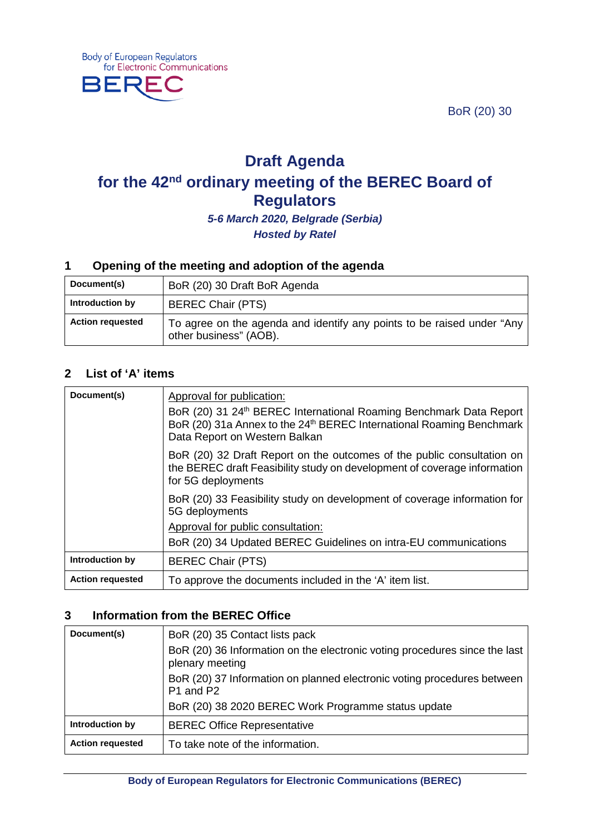BoR (20) 30



# **Draft Agenda for the 42nd ordinary meeting of the BEREC Board of Regulators**

*5-6 March 2020, Belgrade (Serbia) Hosted by Ratel*

#### **1 Opening of the meeting and adoption of the agenda**

| Document(s)             | BoR (20) 30 Draft BoR Agenda                                                                     |
|-------------------------|--------------------------------------------------------------------------------------------------|
| Introduction by         | <b>BEREC Chair (PTS)</b>                                                                         |
| <b>Action requested</b> | To agree on the agenda and identify any points to be raised under "Any<br>other business" (AOB). |

#### **2 List of 'A' items**

| Document(s)             | Approval for publication:<br>BoR (20) 31 24 <sup>th</sup> BEREC International Roaming Benchmark Data Report<br>BoR (20) 31a Annex to the 24 <sup>th</sup> BEREC International Roaming Benchmark<br>Data Report on Western Balkan |
|-------------------------|----------------------------------------------------------------------------------------------------------------------------------------------------------------------------------------------------------------------------------|
|                         | BoR (20) 32 Draft Report on the outcomes of the public consultation on<br>the BEREC draft Feasibility study on development of coverage information<br>for 5G deployments                                                         |
|                         | BoR (20) 33 Feasibility study on development of coverage information for<br>5G deployments                                                                                                                                       |
|                         | Approval for public consultation:                                                                                                                                                                                                |
|                         | BoR (20) 34 Updated BEREC Guidelines on intra-EU communications                                                                                                                                                                  |
| Introduction by         | <b>BEREC Chair (PTS)</b>                                                                                                                                                                                                         |
| <b>Action requested</b> | To approve the documents included in the 'A' item list.                                                                                                                                                                          |

### **3 Information from the BEREC Office**

| Document(s)             | BoR (20) 35 Contact lists pack                                                                |
|-------------------------|-----------------------------------------------------------------------------------------------|
|                         | BoR (20) 36 Information on the electronic voting procedures since the last<br>plenary meeting |
|                         | BoR (20) 37 Information on planned electronic voting procedures between<br>P1 and P2          |
|                         | BoR (20) 38 2020 BEREC Work Programme status update                                           |
| Introduction by         | <b>BEREC Office Representative</b>                                                            |
| <b>Action requested</b> | To take note of the information.                                                              |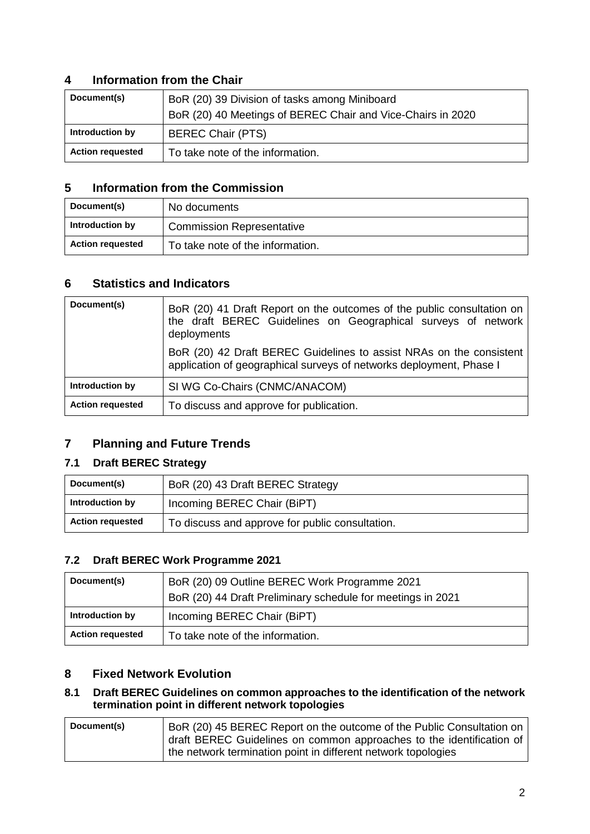## **4 Information from the Chair**

| Document(s)             | BoR (20) 39 Division of tasks among Miniboard<br>BoR (20) 40 Meetings of BEREC Chair and Vice-Chairs in 2020 |
|-------------------------|--------------------------------------------------------------------------------------------------------------|
| Introduction by         | <b>BEREC Chair (PTS)</b>                                                                                     |
| <b>Action requested</b> | To take note of the information.                                                                             |

#### **5 Information from the Commission**

| Document(s)             | No documents                     |
|-------------------------|----------------------------------|
| Introduction by         | <b>Commission Representative</b> |
| <b>Action requested</b> | To take note of the information. |

## **6 Statistics and Indicators**

| Document(s)             | BoR (20) 41 Draft Report on the outcomes of the public consultation on<br>the draft BEREC Guidelines on Geographical surveys of network<br>deployments |
|-------------------------|--------------------------------------------------------------------------------------------------------------------------------------------------------|
|                         | BoR (20) 42 Draft BEREC Guidelines to assist NRAs on the consistent<br>application of geographical surveys of networks deployment, Phase I             |
| Introduction by         | SI WG Co-Chairs (CNMC/ANACOM)                                                                                                                          |
| <b>Action requested</b> | To discuss and approve for publication.                                                                                                                |

## **7 Planning and Future Trends**

### **7.1 Draft BEREC Strategy**

| Document(s)             | BoR (20) 43 Draft BEREC Strategy                |
|-------------------------|-------------------------------------------------|
| Introduction by         | Incoming BEREC Chair (BiPT)                     |
| <b>Action requested</b> | To discuss and approve for public consultation. |

#### **7.2 Draft BEREC Work Programme 2021**

| Document(s)             | BoR (20) 09 Outline BEREC Work Programme 2021               |
|-------------------------|-------------------------------------------------------------|
|                         | BoR (20) 44 Draft Preliminary schedule for meetings in 2021 |
| Introduction by         | Incoming BEREC Chair (BiPT)                                 |
| <b>Action requested</b> | To take note of the information.                            |

### **8 Fixed Network Evolution**

#### **8.1 Draft BEREC Guidelines on common approaches to the identification of the network termination point in different network topologies**

| Document(s) | BoR (20) 45 BEREC Report on the outcome of the Public Consultation on |
|-------------|-----------------------------------------------------------------------|
|             | draft BEREC Guidelines on common approaches to the identification of  |
|             | the network termination point in different network topologies         |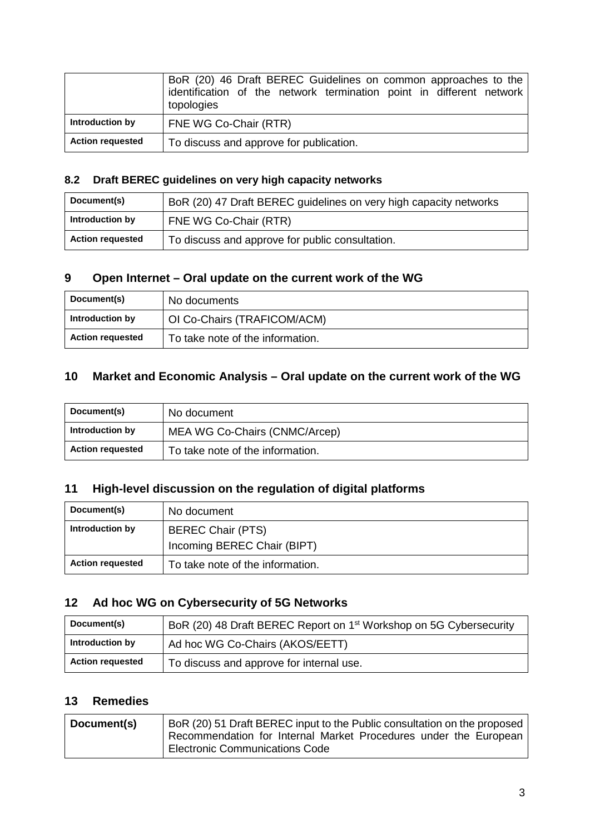|                         | BoR (20) 46 Draft BEREC Guidelines on common approaches to the<br>identification of the network termination point in different network<br>topologies |
|-------------------------|------------------------------------------------------------------------------------------------------------------------------------------------------|
| Introduction by         | FNE WG Co-Chair (RTR)                                                                                                                                |
| <b>Action requested</b> | To discuss and approve for publication.                                                                                                              |

# **8.2 Draft BEREC guidelines on very high capacity networks**

| Document(s)             | BoR (20) 47 Draft BEREC guidelines on very high capacity networks |
|-------------------------|-------------------------------------------------------------------|
| Introduction by         | FNE WG Co-Chair (RTR)                                             |
| <b>Action requested</b> | To discuss and approve for public consultation.                   |

# **9 Open Internet – Oral update on the current work of the WG**

| Document(s)             | No documents                     |
|-------------------------|----------------------------------|
| Introduction by         | OI Co-Chairs (TRAFICOM/ACM)      |
| <b>Action requested</b> | To take note of the information. |

# **10 Market and Economic Analysis – Oral update on the current work of the WG**

| Document(s)             | No document                      |
|-------------------------|----------------------------------|
| Introduction by         | MEA WG Co-Chairs (CNMC/Arcep)    |
| <b>Action requested</b> | To take note of the information. |

# **11 High-level discussion on the regulation of digital platforms**

| Document(s)             | No document                                             |
|-------------------------|---------------------------------------------------------|
| Introduction by         | <b>BEREC Chair (PTS)</b><br>Incoming BEREC Chair (BIPT) |
| <b>Action requested</b> | To take note of the information.                        |

# **12 Ad hoc WG on Cybersecurity of 5G Networks**

| Document(s)             | BoR (20) 48 Draft BEREC Report on 1 <sup>st</sup> Workshop on 5G Cybersecurity |
|-------------------------|--------------------------------------------------------------------------------|
| Introduction by         | Ad hoc WG Co-Chairs (AKOS/EETT)                                                |
| <b>Action requested</b> | To discuss and approve for internal use.                                       |

# **13 Remedies**

| Document(s) | BoR (20) 51 Draft BEREC input to the Public consultation on the proposed |
|-------------|--------------------------------------------------------------------------|
|             | Recommendation for Internal Market Procedures under the European         |
|             | <b>Electronic Communications Code</b>                                    |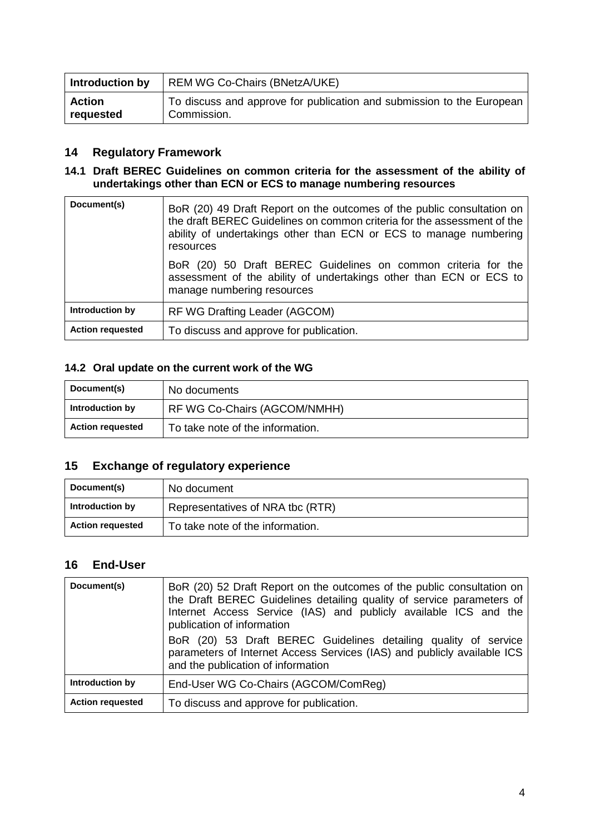| <b>Introduction by</b> | REM WG Co-Chairs (BNetzA/UKE)                                         |
|------------------------|-----------------------------------------------------------------------|
| <b>Action</b>          | To discuss and approve for publication and submission to the European |
| requested              | Commission.                                                           |

### **14 Regulatory Framework**

#### **14.1 Draft BEREC Guidelines on common criteria for the assessment of the ability of undertakings other than ECN or ECS to manage numbering resources**

| Document(s)             | BoR (20) 49 Draft Report on the outcomes of the public consultation on<br>the draft BEREC Guidelines on common criteria for the assessment of the<br>ability of undertakings other than ECN or ECS to manage numbering<br>resources |
|-------------------------|-------------------------------------------------------------------------------------------------------------------------------------------------------------------------------------------------------------------------------------|
|                         | BoR (20) 50 Draft BEREC Guidelines on common criteria for the<br>assessment of the ability of undertakings other than ECN or ECS to<br>manage numbering resources                                                                   |
| Introduction by         | RF WG Drafting Leader (AGCOM)                                                                                                                                                                                                       |
| <b>Action requested</b> | To discuss and approve for publication.                                                                                                                                                                                             |

# **14.2 Oral update on the current work of the WG**

| Document(s)             | No documents                     |
|-------------------------|----------------------------------|
| Introduction by         | RF WG Co-Chairs (AGCOM/NMHH)     |
| <b>Action requested</b> | To take note of the information. |

# **15 Exchange of regulatory experience**

| Document(s)             | No document                      |
|-------------------------|----------------------------------|
| Introduction by         | Representatives of NRA tbc (RTR) |
| <b>Action requested</b> | To take note of the information. |

### **16 End-User**

| Document(s)             | BoR (20) 52 Draft Report on the outcomes of the public consultation on<br>the Draft BEREC Guidelines detailing quality of service parameters of<br>Internet Access Service (IAS) and publicly available ICS and the<br>publication of information<br>BoR (20) 53 Draft BEREC Guidelines detailing quality of service<br>parameters of Internet Access Services (IAS) and publicly available ICS<br>and the publication of information |
|-------------------------|---------------------------------------------------------------------------------------------------------------------------------------------------------------------------------------------------------------------------------------------------------------------------------------------------------------------------------------------------------------------------------------------------------------------------------------|
| Introduction by         | End-User WG Co-Chairs (AGCOM/ComReg)                                                                                                                                                                                                                                                                                                                                                                                                  |
| <b>Action requested</b> | To discuss and approve for publication.                                                                                                                                                                                                                                                                                                                                                                                               |